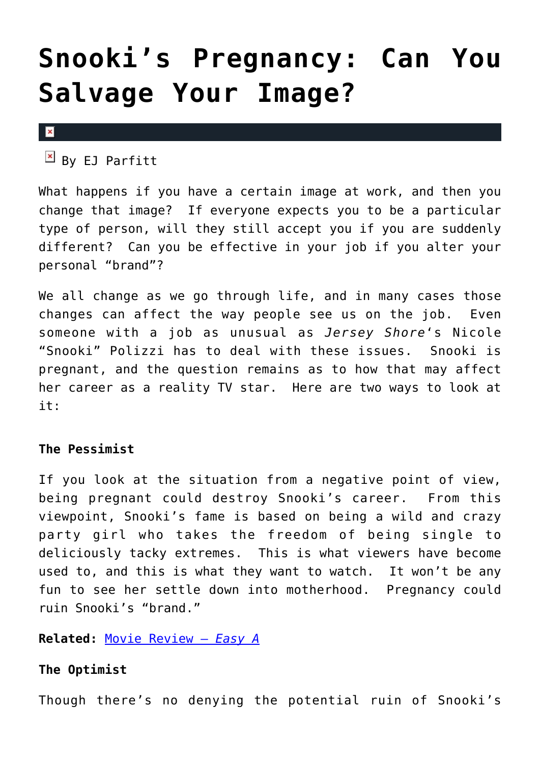# **[Snooki's Pregnancy: Can You](https://cupidspulse.com/29177/snooki-pregnancy-salvage-image-career/) [Salvage Your Image?](https://cupidspulse.com/29177/snooki-pregnancy-salvage-image-career/)**

#### $\pmb{\times}$

 $\overline{B}$  By EJ Parfitt

What happens if you have a certain image at work, and then you change that image? If everyone expects you to be a particular type of person, will they still accept you if you are suddenly different? Can you be effective in your job if you alter your personal "brand"?

We all change as we go through life, and in many cases those changes can affect the way people see us on the job. Even someone with a job as unusual as *Jersey Shore*'s Nicole "Snooki" Polizzi has to deal with these issues. Snooki is pregnant, and the question remains as to how that may affect her career as a reality TV star. Here are two ways to look at it:

### **The Pessimist**

If you look at the situation from a negative point of view, being pregnant could destroy Snooki's career. From this viewpoint, Snooki's fame is based on being a wild and crazy party girl who takes the freedom of being single to deliciously tacky extremes. This is what viewers have become used to, and this is what they want to watch. It won't be any fun to see her settle down into motherhood. Pregnancy could ruin Snooki's "brand."

### **Related:** [Movie Review –](http://cupidspulse.com/movie-review-easy-a/) *[Easy A](http://cupidspulse.com/movie-review-easy-a/)*

## **The Optimist**

Though there's no denying the potential ruin of Snooki's